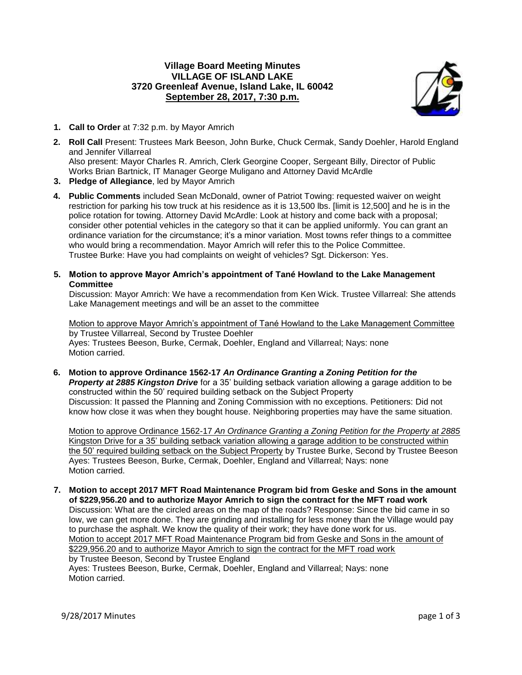## **Village Board Meeting Minutes VILLAGE OF ISLAND LAKE 3720 Greenleaf Avenue, Island Lake, IL 60042 September 28, 2017, 7:30 p.m.**



- **1. Call to Order** at 7:32 p.m. by Mayor Amrich
- **2. Roll Call** Present: Trustees Mark Beeson, John Burke, Chuck Cermak, Sandy Doehler, Harold England and Jennifer Villarreal Also present: Mayor Charles R. Amrich, Clerk Georgine Cooper, Sergeant Billy, Director of Public Works Brian Bartnick, IT Manager George Muligano and Attorney David McArdle
- **3. Pledge of Allegiance**, led by Mayor Amrich
- **4. Public Comments** included Sean McDonald, owner of Patriot Towing: requested waiver on weight restriction for parking his tow truck at his residence as it is 13,500 lbs. [limit is 12,500] and he is in the police rotation for towing. Attorney David McArdle: Look at history and come back with a proposal; consider other potential vehicles in the category so that it can be applied uniformly. You can grant an ordinance variation for the circumstance; it's a minor variation. Most towns refer things to a committee who would bring a recommendation. Mayor Amrich will refer this to the Police Committee. Trustee Burke: Have you had complaints on weight of vehicles? Sgt. Dickerson: Yes.
- **5. Motion to approve Mayor Amrich's appointment of Tané Howland to the Lake Management Committee**

Discussion: Mayor Amrich: We have a recommendation from Ken Wick. Trustee Villarreal: She attends Lake Management meetings and will be an asset to the committee

Motion to approve Mayor Amrich's appointment of Tané Howland to the Lake Management Committee by Trustee Villarreal, Second by Trustee Doehler Ayes: Trustees Beeson, Burke, Cermak, Doehler, England and Villarreal; Nays: none Motion carried.

**6. Motion to approve Ordinance 1562-17** *An Ordinance Granting a Zoning Petition for the* **Property at 2885 Kingston Drive** for a 35' building setback variation allowing a garage addition to be constructed within the 50' required building setback on the Subject Property Discussion: It passed the Planning and Zoning Commission with no exceptions. Petitioners: Did not know how close it was when they bought house. Neighboring properties may have the same situation.

Motion to approve Ordinance 1562-17 *An Ordinance Granting a Zoning Petition for the Property at 2885*  Kingston Drive for a 35' building setback variation allowing a garage addition to be constructed within the 50' required building setback on the Subject Property by Trustee Burke, Second by Trustee Beeson Ayes: Trustees Beeson, Burke, Cermak, Doehler, England and Villarreal; Nays: none Motion carried.

**7. Motion to accept 2017 MFT Road Maintenance Program bid from Geske and Sons in the amount of \$229,956.20 and to authorize Mayor Amrich to sign the contract for the MFT road work** Discussion: What are the circled areas on the map of the roads? Response: Since the bid came in so low, we can get more done. They are grinding and installing for less money than the Village would pay to purchase the asphalt. We know the quality of their work; they have done work for us. Motion to accept 2017 MFT Road Maintenance Program bid from Geske and Sons in the amount of \$229,956.20 and to authorize Mayor Amrich to sign the contract for the MFT road work by Trustee Beeson, Second by Trustee England Ayes: Trustees Beeson, Burke, Cermak, Doehler, England and Villarreal; Nays: none Motion carried.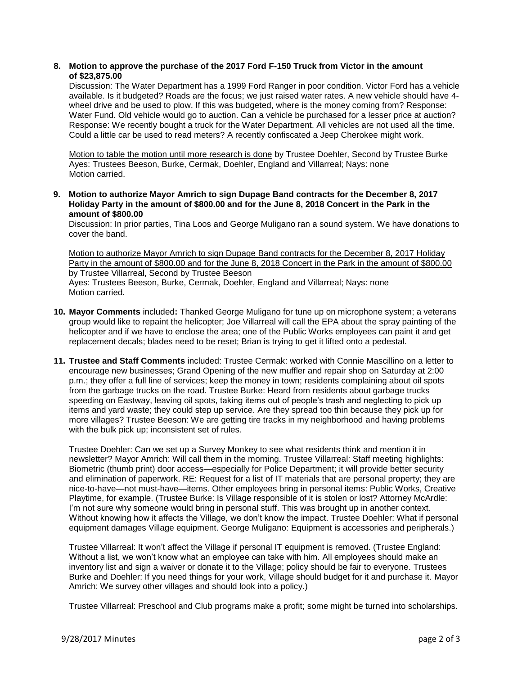## **8. Motion to approve the purchase of the 2017 Ford F-150 Truck from Victor in the amount of \$23,875.00**

Discussion: The Water Department has a 1999 Ford Ranger in poor condition. Victor Ford has a vehicle available. Is it budgeted? Roads are the focus; we just raised water rates. A new vehicle should have 4 wheel drive and be used to plow. If this was budgeted, where is the money coming from? Response: Water Fund. Old vehicle would go to auction. Can a vehicle be purchased for a lesser price at auction? Response: We recently bought a truck for the Water Department. All vehicles are not used all the time. Could a little car be used to read meters? A recently confiscated a Jeep Cherokee might work.

Motion to table the motion until more research is done by Trustee Doehler, Second by Trustee Burke Ayes: Trustees Beeson, Burke, Cermak, Doehler, England and Villarreal; Nays: none Motion carried.

**9. Motion to authorize Mayor Amrich to sign Dupage Band contracts for the December 8, 2017 Holiday Party in the amount of \$800.00 and for the June 8, 2018 Concert in the Park in the amount of \$800.00**

Discussion: In prior parties, Tina Loos and George Muligano ran a sound system. We have donations to cover the band.

Motion to authorize Mayor Amrich to sign Dupage Band contracts for the December 8, 2017 Holiday Party in the amount of \$800.00 and for the June 8, 2018 Concert in the Park in the amount of \$800.00 by Trustee Villarreal, Second by Trustee Beeson Ayes: Trustees Beeson, Burke, Cermak, Doehler, England and Villarreal; Nays: none

Motion carried.

- **10. Mayor Comments** included**:** Thanked George Muligano for tune up on microphone system; a veterans group would like to repaint the helicopter; Joe Villarreal will call the EPA about the spray painting of the helicopter and if we have to enclose the area; one of the Public Works employees can paint it and get replacement decals; blades need to be reset; Brian is trying to get it lifted onto a pedestal.
- **11. Trustee and Staff Comments** included: Trustee Cermak: worked with Connie Mascillino on a letter to encourage new businesses; Grand Opening of the new muffler and repair shop on Saturday at 2:00 p.m.; they offer a full line of services; keep the money in town; residents complaining about oil spots from the garbage trucks on the road. Trustee Burke: Heard from residents about garbage trucks speeding on Eastway, leaving oil spots, taking items out of people's trash and neglecting to pick up items and yard waste; they could step up service. Are they spread too thin because they pick up for more villages? Trustee Beeson: We are getting tire tracks in my neighborhood and having problems with the bulk pick up; inconsistent set of rules.

Trustee Doehler: Can we set up a Survey Monkey to see what residents think and mention it in newsletter? Mayor Amrich: Will call them in the morning. Trustee Villarreal: Staff meeting highlights: Biometric (thumb print) door access—especially for Police Department; it will provide better security and elimination of paperwork. RE: Request for a list of IT materials that are personal property; they are nice-to-have—not must-have—items. Other employees bring in personal items: Public Works, Creative Playtime, for example. (Trustee Burke: Is Village responsible of it is stolen or lost? Attorney McArdle: I'm not sure why someone would bring in personal stuff. This was brought up in another context. Without knowing how it affects the Village, we don't know the impact. Trustee Doehler: What if personal equipment damages Village equipment. George Muligano: Equipment is accessories and peripherals.)

Trustee Villarreal: It won't affect the Village if personal IT equipment is removed. (Trustee England: Without a list, we won't know what an employee can take with him. All employees should make an inventory list and sign a waiver or donate it to the Village; policy should be fair to everyone. Trustees Burke and Doehler: If you need things for your work, Village should budget for it and purchase it. Mayor Amrich: We survey other villages and should look into a policy.)

Trustee Villarreal: Preschool and Club programs make a profit; some might be turned into scholarships.